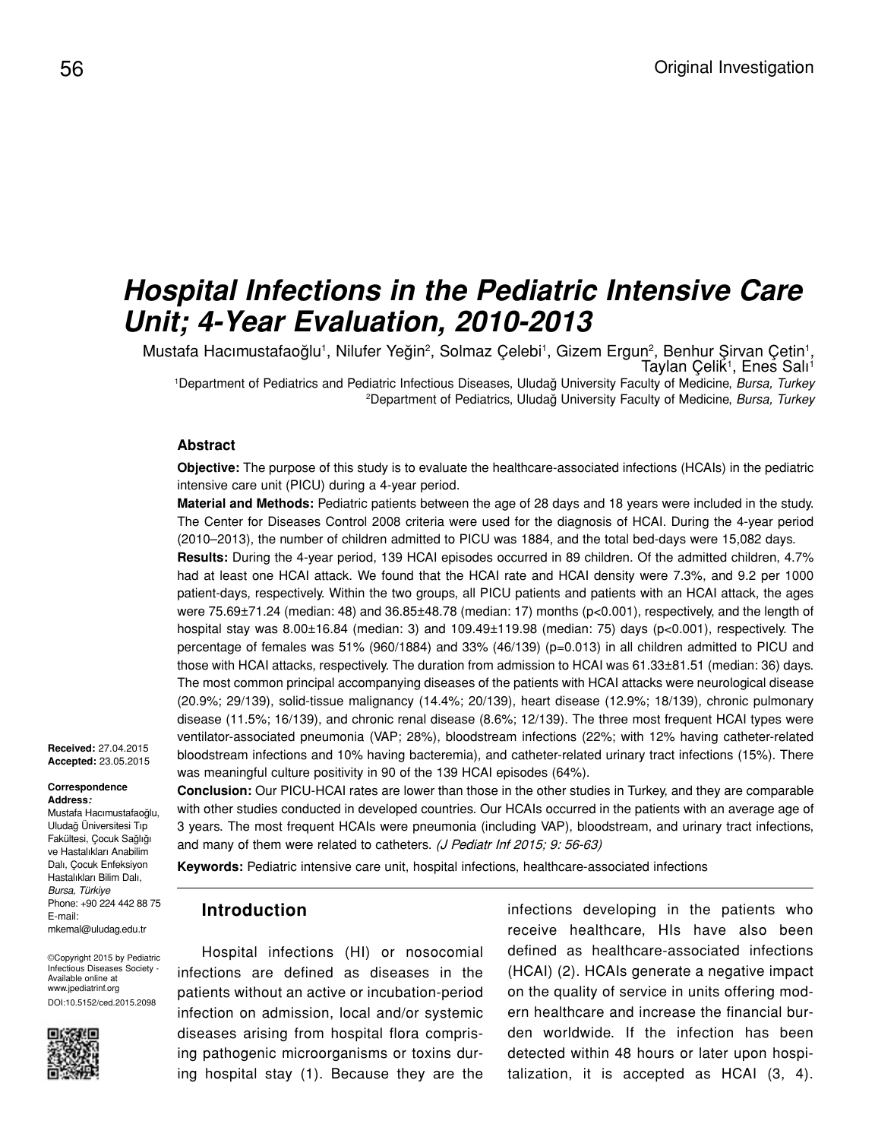# *Hospital Infections in the Pediatric Intensive Care Unit; 4-Year Evaluation, 2010-2013*

Mustafa Hacımustafaoğlu<sup>1</sup>, Nilufer Yeğin<sup>2</sup>, Solmaz Çelebi<sup>1</sup>, Gizem Ergun<sup>2</sup>, Benhur Şirvan Çetin<sup>1</sup>,<br>Taylan Çelik<sup>1</sup>, Enes Salı<sup>1</sup> Taylan Çelik<sup>1</sup>, Enes Salı<sup>1</sup> 1 Department of Pediatrics and Pediatric Infectious Diseases, Uludağ University Faculty of Medicine, *Bursa, Turkey* 2 Department of Pediatrics, Uludağ University Faculty of Medicine, *Bursa, Turkey*

#### **Abstract**

**Objective:** The purpose of this study is to evaluate the healthcare-associated infections (HCAIs) in the pediatric intensive care unit (PICU) during a 4-year period.

**Material and Methods:** Pediatric patients between the age of 28 days and 18 years were included in the study. The Center for Diseases Control 2008 criteria were used for the diagnosis of HCAI. During the 4-year period (2010–2013), the number of children admitted to PICU was 1884, and the total bed-days were 15,082 days.

**Results:** During the 4-year period, 139 HCAI episodes occurred in 89 children. Of the admitted children, 4.7% had at least one HCAI attack. We found that the HCAI rate and HCAI density were 7.3%, and 9.2 per 1000 patient-days, respectively. Within the two groups, all PICU patients and patients with an HCAI attack, the ages were 75.69±71.24 (median: 48) and 36.85±48.78 (median: 17) months (p<0.001), respectively, and the length of hospital stay was 8.00±16.84 (median: 3) and 109.49±119.98 (median: 75) days (p<0.001), respectively. The percentage of females was 51% (960/1884) and 33% (46/139) (p=0.013) in all children admitted to PICU and those with HCAI attacks, respectively. The duration from admission to HCAI was 61.33±81.51 (median: 36) days. The most common principal accompanying diseases of the patients with HCAI attacks were neurological disease (20.9%; 29/139), solid-tissue malignancy (14.4%; 20/139), heart disease (12.9%; 18/139), chronic pulmonary disease (11.5%; 16/139), and chronic renal disease (8.6%; 12/139). The three most frequent HCAI types were ventilator-associated pneumonia (VAP; 28%), bloodstream infections (22%; with 12% having catheter-related bloodstream infections and 10% having bacteremia), and catheter-related urinary tract infections (15%). There was meaningful culture positivity in 90 of the 139 HCAI episodes (64%).

**Received:** 27.04.2015 **Accepted:** 23.05.2015

#### **Correspondence Address***:*

Mustafa Hacımustafaoğlu, Uludağ Üniversitesi Tıp Fakültesi, Çocuk Sağlığı ve Hastalıkları Anabilim Dalı, Çocuk Enfeksiyon Hastalıkları Bilim Dalı, *Bursa, Türkiye* Phone: +90 224 442 88 75 E-mail: mkemal@uludag.edu.tr

©Copyright 2015 by Pediatric Infectious Diseases Society - Available online at www.jpediatrinf.org DOI:10.5152/ced.2015.2098



**Conclusion:** Our PICU-HCAI rates are lower than those in the other studies in Turkey, and they are comparable with other studies conducted in developed countries. Our HCAIs occurred in the patients with an average age of 3 years. The most frequent HCAIs were pneumonia (including VAP), bloodstream, and urinary tract infections, and many of them were related to catheters. (J Pediatr Inf 2015; 9: 56-63)

**Keywords:** Pediatric intensive care unit, hospital infections, healthcare-associated infections

## **Introduction**

Hospital infections (HI) or nosocomial infections are defined as diseases in the patients without an active or incubation-period infection on admission, local and/or systemic diseases arising from hospital flora comprising pathogenic microorganisms or toxins during hospital stay (1). Because they are the infections developing in the patients who receive healthcare, HIs have also been defined as healthcare-associated infections (HCAI) (2). HCAIs generate a negative impact on the quality of service in units offering modern healthcare and increase the financial burden worldwide. If the infection has been detected within 48 hours or later upon hospitalization, it is accepted as HCAI (3, 4).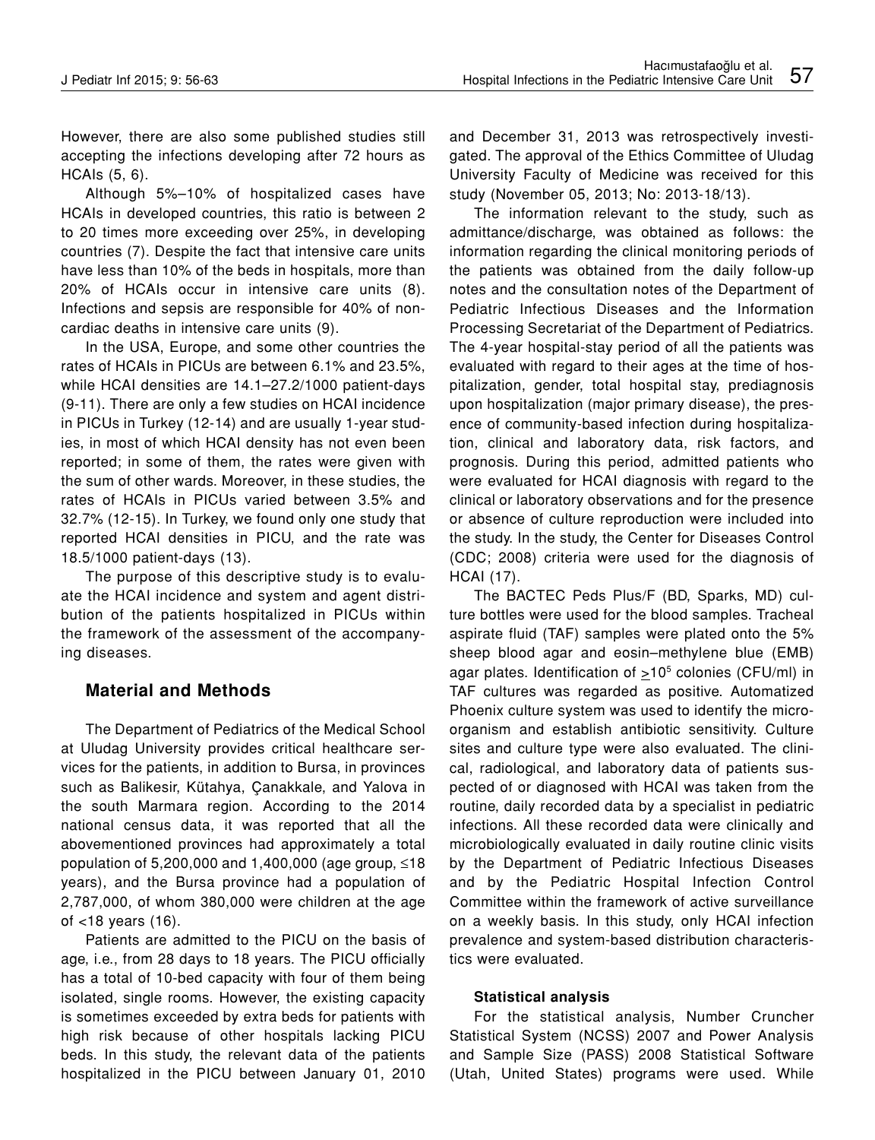However, there are also some published studies still accepting the infections developing after 72 hours as HCAIs (5, 6).

Although 5%–10% of hospitalized cases have HCAIs in developed countries, this ratio is between 2 to 20 times more exceeding over 25%, in developing countries (7). Despite the fact that intensive care units have less than 10% of the beds in hospitals, more than 20% of HCAIs occur in intensive care units (8). Infections and sepsis are responsible for 40% of noncardiac deaths in intensive care units (9).

In the USA, Europe, and some other countries the rates of HCAIs in PICUs are between 6.1% and 23.5%, while HCAI densities are 14.1–27.2/1000 patient-days (9-11). There are only a few studies on HCAI incidence in PICUs in Turkey (12-14) and are usually 1-year studies, in most of which HCAI density has not even been reported; in some of them, the rates were given with the sum of other wards. Moreover, in these studies, the rates of HCAIs in PICUs varied between 3.5% and 32.7% (12-15). In Turkey, we found only one study that reported HCAI densities in PICU, and the rate was 18.5/1000 patient-days (13).

The purpose of this descriptive study is to evaluate the HCAI incidence and system and agent distribution of the patients hospitalized in PICUs within the framework of the assessment of the accompanying diseases.

# **Material and Methods**

The Department of Pediatrics of the Medical School at Uludag University provides critical healthcare services for the patients, in addition to Bursa, in provinces such as Balikesir, Kütahya, Çanakkale, and Yalova in the south Marmara region. According to the 2014 national census data, it was reported that all the abovementioned provinces had approximately a total population of 5,200,000 and 1,400,000 (age group, ≤18 years), and the Bursa province had a population of 2,787,000, of whom 380,000 were children at the age of <18 years (16).

Patients are admitted to the PICU on the basis of age, i.e., from 28 days to 18 years. The PICU officially has a total of 10-bed capacity with four of them being isolated, single rooms. However, the existing capacity is sometimes exceeded by extra beds for patients with high risk because of other hospitals lacking PICU beds. In this study, the relevant data of the patients hospitalized in the PICU between January 01, 2010

and December 31, 2013 was retrospectively investigated. The approval of the Ethics Committee of Uludag University Faculty of Medicine was received for this study (November 05, 2013; No: 2013-18/13).

The information relevant to the study, such as admittance/discharge, was obtained as follows: the information regarding the clinical monitoring periods of the patients was obtained from the daily follow-up notes and the consultation notes of the Department of Pediatric Infectious Diseases and the Information Processing Secretariat of the Department of Pediatrics. The 4-year hospital-stay period of all the patients was evaluated with regard to their ages at the time of hospitalization, gender, total hospital stay, prediagnosis upon hospitalization (major primary disease), the presence of community-based infection during hospitalization, clinical and laboratory data, risk factors, and prognosis. During this period, admitted patients who were evaluated for HCAI diagnosis with regard to the clinical or laboratory observations and for the presence or absence of culture reproduction were included into the study. In the study, the Center for Diseases Control (CDC; 2008) criteria were used for the diagnosis of HCAI (17).

The BACTEC Peds Plus/F (BD, Sparks, MD) culture bottles were used for the blood samples. Tracheal aspirate fluid (TAF) samples were plated onto the 5% sheep blood agar and eosin–methylene blue (EMB) agar plates. Identification of  $>10^5$  colonies (CFU/mI) in TAF cultures was regarded as positive. Automatized Phoenix culture system was used to identify the microorganism and establish antibiotic sensitivity. Culture sites and culture type were also evaluated. The clinical, radiological, and laboratory data of patients suspected of or diagnosed with HCAI was taken from the routine, daily recorded data by a specialist in pediatric infections. All these recorded data were clinically and microbiologically evaluated in daily routine clinic visits by the Department of Pediatric Infectious Diseases and by the Pediatric Hospital Infection Control Committee within the framework of active surveillance on a weekly basis. In this study, only HCAI infection prevalence and system-based distribution characteristics were evaluated.

### **Statistical analysis**

For the statistical analysis, Number Cruncher Statistical System (NCSS) 2007 and Power Analysis and Sample Size (PASS) 2008 Statistical Software (Utah, United States) programs were used. While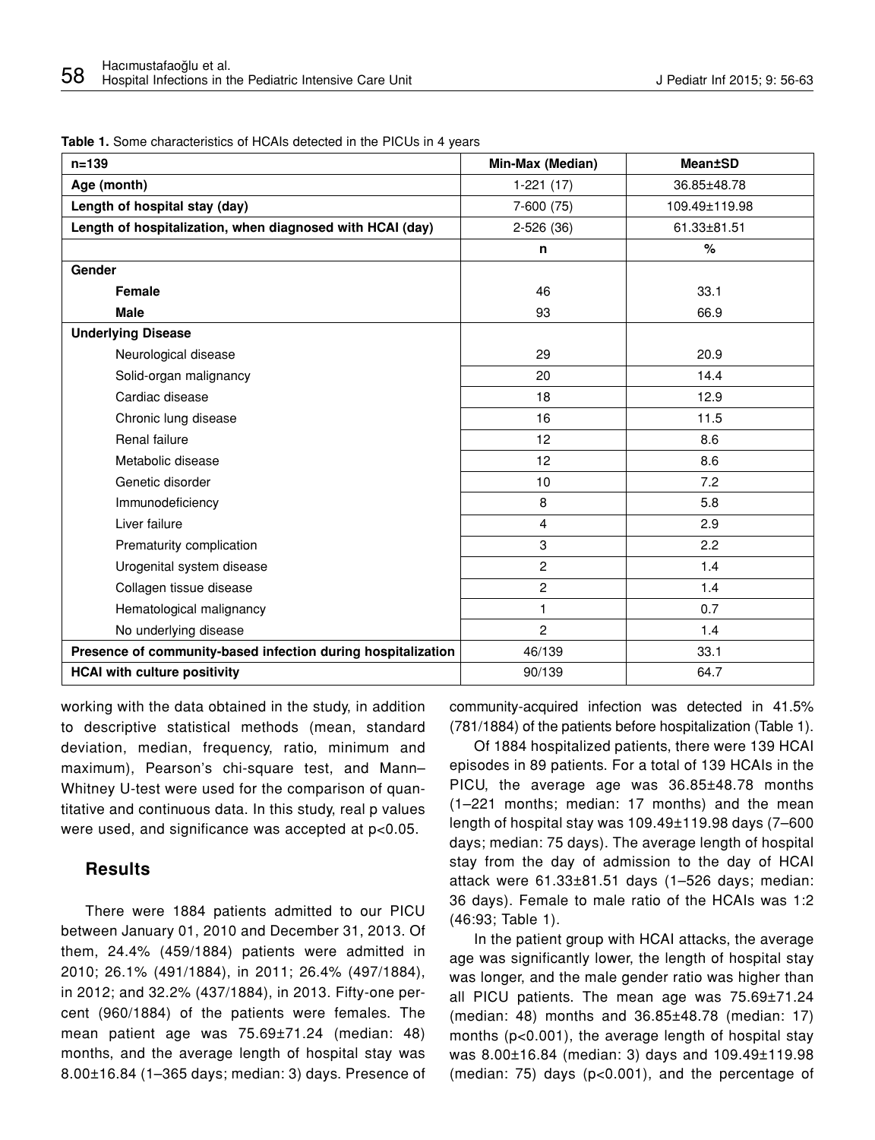|  |  |  |  |  | <b>Table 1.</b> Some characteristics of HCAIs detected in the PICUs in 4 years |  |
|--|--|--|--|--|--------------------------------------------------------------------------------|--|
|--|--|--|--|--|--------------------------------------------------------------------------------|--|

| $n = 139$                                                    | Min-Max (Median) | <b>Mean±SD</b> |
|--------------------------------------------------------------|------------------|----------------|
| Age (month)                                                  | $1-221(17)$      | 36.85±48.78    |
| Length of hospital stay (day)                                | 7-600 (75)       | 109.49±119.98  |
| Length of hospitalization, when diagnosed with HCAI (day)    | $2-526(36)$      | 61.33±81.51    |
|                                                              | n                | $\%$           |
| Gender                                                       |                  |                |
| <b>Female</b>                                                | 46               | 33.1           |
| <b>Male</b>                                                  | 93               | 66.9           |
| <b>Underlying Disease</b>                                    |                  |                |
| Neurological disease                                         | 29               | 20.9           |
| Solid-organ malignancy                                       | 20               | 14.4           |
| Cardiac disease                                              | 18               | 12.9           |
| Chronic lung disease                                         | 16               | 11.5           |
| Renal failure                                                | 12               | 8.6            |
| Metabolic disease                                            | 12               | 8.6            |
| Genetic disorder                                             | 10               | 7.2            |
| Immunodeficiency                                             | 8                | 5.8            |
| Liver failure                                                | 4                | 2.9            |
| Prematurity complication                                     | 3                | 2.2            |
| Urogenital system disease                                    | 2                | 1.4            |
| Collagen tissue disease                                      | $\overline{c}$   | 1.4            |
| Hematological malignancy                                     | 1                | 0.7            |
| No underlying disease                                        | $\overline{c}$   | 1.4            |
| Presence of community-based infection during hospitalization | 46/139           | 33.1           |
| <b>HCAI with culture positivity</b>                          | 90/139           | 64.7           |

working with the data obtained in the study, in addition to descriptive statistical methods (mean, standard deviation, median, frequency, ratio, minimum and maximum), Pearson's chi-square test, and Mann– Whitney U-test were used for the comparison of quantitative and continuous data. In this study, real p values were used, and significance was accepted at p<0.05.

### **Results**

There were 1884 patients admitted to our PICU between January 01, 2010 and December 31, 2013. Of them, 24.4% (459/1884) patients were admitted in 2010; 26.1% (491/1884), in 2011; 26.4% (497/1884), in 2012; and 32.2% (437/1884), in 2013. Fifty-one percent (960/1884) of the patients were females. The mean patient age was 75.69±71.24 (median: 48) months, and the average length of hospital stay was 8.00±16.84 (1–365 days; median: 3) days. Presence of

community-acquired infection was detected in 41.5% (781/1884) of the patients before hospitalization (Table 1).

Of 1884 hospitalized patients, there were 139 HCAI episodes in 89 patients. For a total of 139 HCAIs in the PICU, the average age was 36.85±48.78 months (1–221 months; median: 17 months) and the mean length of hospital stay was 109.49±119.98 days (7–600 days; median: 75 days). The average length of hospital stay from the day of admission to the day of HCAI attack were 61.33±81.51 days (1–526 days; median: 36 days). Female to male ratio of the HCAIs was 1:2 (46:93; Table 1).

In the patient group with HCAI attacks, the average age was significantly lower, the length of hospital stay was longer, and the male gender ratio was higher than all PICU patients. The mean age was 75.69±71.24 (median: 48) months and 36.85±48.78 (median: 17) months (p<0.001), the average length of hospital stay was 8.00±16.84 (median: 3) days and 109.49±119.98 (median: 75) days (p<0.001), and the percentage of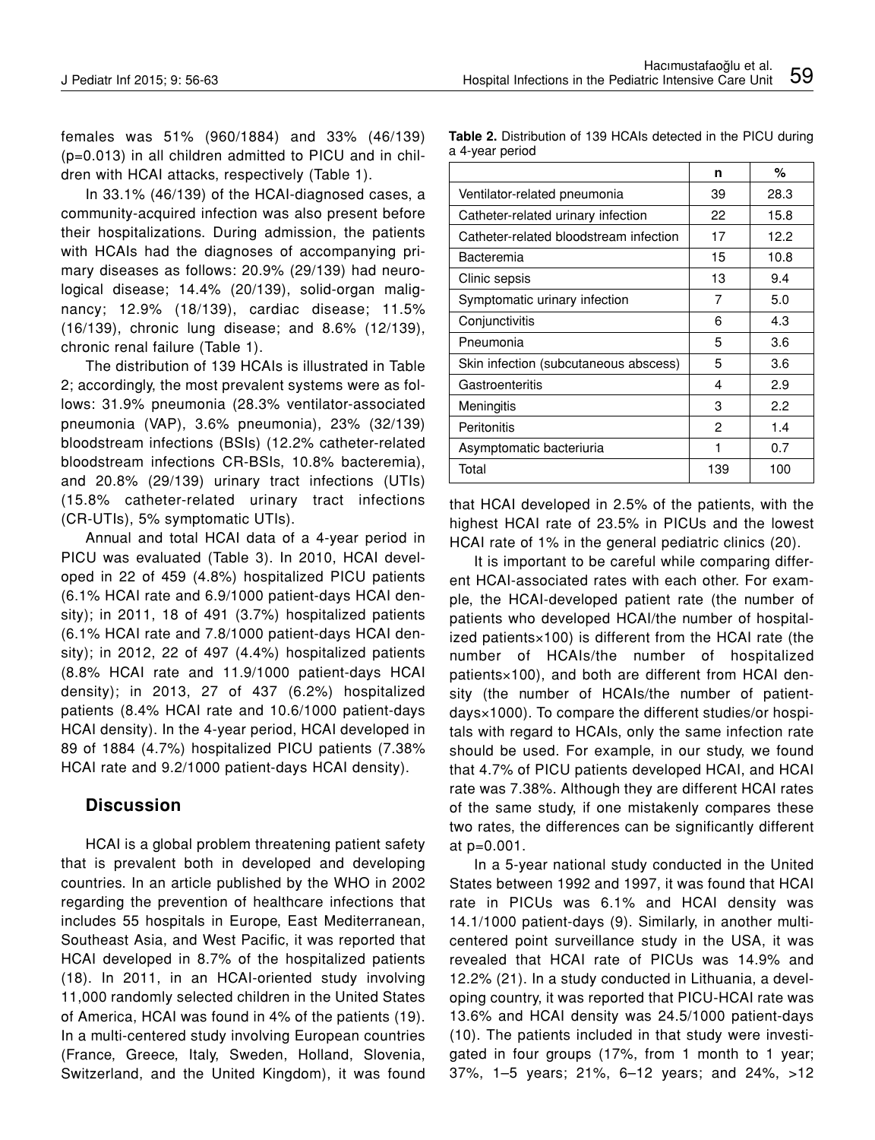females was 51% (960/1884) and 33% (46/139) (p=0.013) in all children admitted to PICU and in children with HCAI attacks, respectively (Table 1).

In 33.1% (46/139) of the HCAI-diagnosed cases, a community-acquired infection was also present before their hospitalizations. During admission, the patients with HCAIs had the diagnoses of accompanying primary diseases as follows: 20.9% (29/139) had neurological disease; 14.4% (20/139), solid-organ malignancy; 12.9% (18/139), cardiac disease; 11.5% (16/139), chronic lung disease; and 8.6% (12/139), chronic renal failure (Table 1).

The distribution of 139 HCAIs is illustrated in Table 2; accordingly, the most prevalent systems were as follows: 31.9% pneumonia (28.3% ventilator-associated pneumonia (VAP), 3.6% pneumonia), 23% (32/139) bloodstream infections (BSIs) (12.2% catheter-related bloodstream infections CR-BSIs, 10.8% bacteremia), and 20.8% (29/139) urinary tract infections (UTIs) (15.8% catheter-related urinary tract infections (CR-UTIs), 5% symptomatic UTIs).

Annual and total HCAI data of a 4-year period in PICU was evaluated (Table 3). In 2010, HCAI developed in 22 of 459 (4.8%) hospitalized PICU patients (6.1% HCAI rate and 6.9/1000 patient-days HCAI density); in 2011, 18 of 491 (3.7%) hospitalized patients (6.1% HCAI rate and 7.8/1000 patient-days HCAI density); in 2012, 22 of 497 (4.4%) hospitalized patients (8.8% HCAI rate and 11.9/1000 patient-days HCAI density); in 2013, 27 of 437 (6.2%) hospitalized patients (8.4% HCAI rate and 10.6/1000 patient-days HCAI density). In the 4-year period, HCAI developed in 89 of 1884 (4.7%) hospitalized PICU patients (7.38% HCAI rate and 9.2/1000 patient-days HCAI density).

# **Discussion**

HCAI is a global problem threatening patient safety that is prevalent both in developed and developing countries. In an article published by the WHO in 2002 regarding the prevention of healthcare infections that includes 55 hospitals in Europe, East Mediterranean, Southeast Asia, and West Pacific, it was reported that HCAI developed in 8.7% of the hospitalized patients (18). In 2011, in an HCAI-oriented study involving 11,000 randomly selected children in the United States of America, HCAI was found in 4% of the patients (19). In a multi-centered study involving European countries (France, Greece, Italy, Sweden, Holland, Slovenia, Switzerland, and the United Kingdom), it was found

|                 | <b>Table 2.</b> Distribution of 139 HCAIs detected in the PICU during |  |  |  |
|-----------------|-----------------------------------------------------------------------|--|--|--|
| a 4-year period |                                                                       |  |  |  |

|                                        | n   | %    |
|----------------------------------------|-----|------|
| Ventilator-related pneumonia           | 39  | 28.3 |
| Catheter-related urinary infection     | 22  | 15.8 |
| Catheter-related bloodstream infection | 17  | 12.2 |
| Bacteremia                             | 15  | 10.8 |
| Clinic sepsis                          | 13  | 9.4  |
| Symptomatic urinary infection          | 7   | 5.0  |
| Conjunctivitis                         | 6   | 4.3  |
| Pneumonia                              | 5   | 3.6  |
| Skin infection (subcutaneous abscess)  | 5   | 3.6  |
| Gastroenteritis                        | 4   | 2.9  |
| Meningitis                             | 3   | 2.2  |
| Peritonitis                            | 2   | 1.4  |
| Asymptomatic bacteriuria               | 1   | 0.7  |
| Total                                  | 139 | 100  |

that HCAI developed in 2.5% of the patients, with the highest HCAI rate of 23.5% in PICUs and the lowest HCAI rate of 1% in the general pediatric clinics (20).

It is important to be careful while comparing different HCAI-associated rates with each other. For example, the HCAI-developed patient rate (the number of patients who developed HCAI/the number of hospitalized patients×100) is different from the HCAI rate (the number of HCAIs/the number of hospitalized patients×100), and both are different from HCAI density (the number of HCAIs/the number of patientdays×1000). To compare the different studies/or hospitals with regard to HCAIs, only the same infection rate should be used. For example, in our study, we found that 4.7% of PICU patients developed HCAI, and HCAI rate was 7.38%. Although they are different HCAI rates of the same study, if one mistakenly compares these two rates, the differences can be significantly different at p=0.001.

In a 5-year national study conducted in the United States between 1992 and 1997, it was found that HCAI rate in PICUs was 6.1% and HCAI density was 14.1/1000 patient-days (9). Similarly, in another multicentered point surveillance study in the USA, it was revealed that HCAI rate of PICUs was 14.9% and 12.2% (21). In a study conducted in Lithuania, a developing country, it was reported that PICU-HCAI rate was 13.6% and HCAI density was 24.5/1000 patient-days (10). The patients included in that study were investigated in four groups (17%, from 1 month to 1 year; 37%, 1–5 years; 21%, 6–12 years; and 24%, >12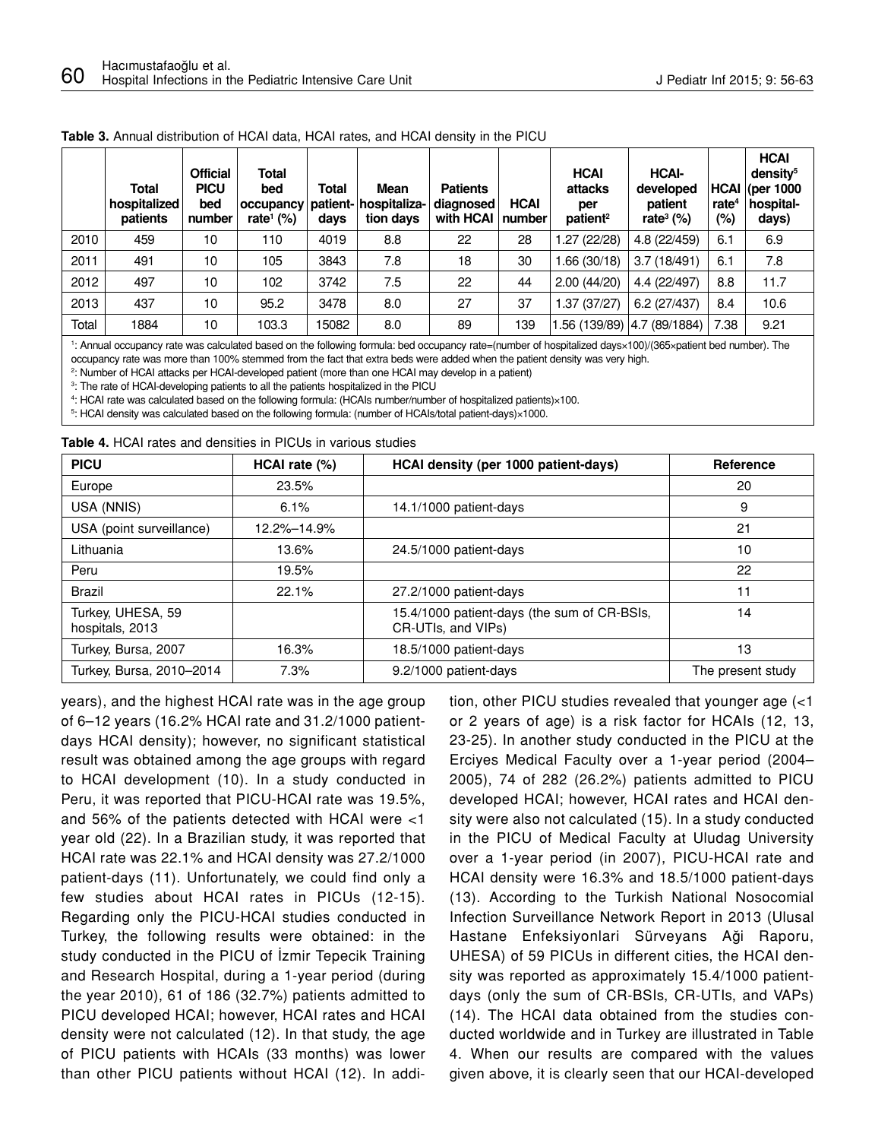|      | <b>Total</b><br>hospitalized<br>patients | <b>Official</b><br><b>PICU</b><br>bed<br>number | Total<br>bed<br>rate <sup>1</sup> $(\%)$ | Total<br>days | <b>Mean</b><br>occupancy   patient-   hospitaliza-<br>tion days | <b>Patients</b><br>diagnosed<br>with HCAI | <b>HCAI</b><br>number | <b>HCAI</b><br>attacks<br>per<br>patient <sup>2</sup> | <b>HCAI-</b><br>developed<br>patient<br>rate <sup>3</sup> $(\%)$ | rate <sup>4</sup><br>$(\%)$ | <b>HCAI</b><br>densitv <sup>5</sup><br>$HCAI$ (per 1000<br>hospital-<br>days) |
|------|------------------------------------------|-------------------------------------------------|------------------------------------------|---------------|-----------------------------------------------------------------|-------------------------------------------|-----------------------|-------------------------------------------------------|------------------------------------------------------------------|-----------------------------|-------------------------------------------------------------------------------|
| 2010 | 459                                      | 10                                              | 110                                      | 4019          | 8.8                                                             | 22                                        | 28                    | 1.27 (22/28)                                          | 4.8 (22/459)                                                     | 6.1                         | 6.9                                                                           |
| 2011 | 491                                      | 10                                              | 105                                      | 3843          | 7.8                                                             | 18                                        | 30                    | 1.66 (30/18)                                          | 3.7(18/491)                                                      | 6.1                         | 7.8                                                                           |
| 2012 | 497                                      | 10                                              | 102                                      | 3742          | 7.5                                                             | 22                                        | 44                    | 2.00(44/20)                                           | 4.4 (22/497)                                                     | 8.8                         | 11.7                                                                          |
| 2013 | 437                                      | 10                                              | 95.2                                     | 3478          | 8.0                                                             | 27                                        | 37                    | 1.37 (37/27)                                          | 6.2(27/437)                                                      | 8.4                         | 10.6                                                                          |

**Table 3.** Annual distribution of HCAI data, HCAI rates, and HCAI density in the PICU

Total 1884 10 103.3 15082 8.0 89 139 1.56 (139/89) 4.7 (89/1884) 7.38 9.21 1 : Annual occupancy rate was calculated based on the following formula: bed occupancy rate=(number of hospitalized days×100)/(365×patient bed number). The

occupancy rate was more than 100% stemmed from the fact that extra beds were added when the patient density was very high. 2 : Number of HCAI attacks per HCAI-developed patient (more than one HCAI may develop in a patient)

3 : The rate of HCAI-developing patients to all the patients hospitalized in the PICU

4 : HCAI rate was calculated based on the following formula: (HCAIs number/number of hospitalized patients)×100.

5 : HCAI density was calculated based on the following formula: (number of HCAIs/total patient-days)×1000.

| <b>Table 4.</b> HCAI rates and densities in PICUs in various studies |  |  |  |
|----------------------------------------------------------------------|--|--|--|
|----------------------------------------------------------------------|--|--|--|

| <b>PICU</b>                          | HCAI rate $(\%)$ | HCAI density (per 1000 patient-days)                              | Reference         |
|--------------------------------------|------------------|-------------------------------------------------------------------|-------------------|
| Europe                               | 23.5%            |                                                                   | 20                |
| USA (NNIS)                           | 6.1%             | 14.1/1000 patient-days                                            | 9                 |
| USA (point surveillance)             | 12.2%-14.9%      |                                                                   | 21                |
| Lithuania                            | 13.6%            | 24.5/1000 patient-days                                            | 10                |
| Peru                                 | 19.5%            |                                                                   | 22                |
| <b>Brazil</b>                        | 22.1%            | 27.2/1000 patient-days                                            | 11                |
| Turkey, UHESA, 59<br>hospitals, 2013 |                  | 15.4/1000 patient-days (the sum of CR-BSIs,<br>CR-UTIs, and VIPs) | 14                |
| Turkey, Bursa, 2007                  | 16.3%            | 18.5/1000 patient-days                                            | 13                |
| Turkey, Bursa, 2010-2014             | 7.3%             | 9.2/1000 patient-days                                             | The present study |

years), and the highest HCAI rate was in the age group of 6–12 years (16.2% HCAI rate and 31.2/1000 patientdays HCAI density); however, no significant statistical result was obtained among the age groups with regard to HCAI development (10). In a study conducted in Peru, it was reported that PICU-HCAI rate was 19.5%, and 56% of the patients detected with HCAI were <1 year old (22). In a Brazilian study, it was reported that HCAI rate was 22.1% and HCAI density was 27.2/1000 patient-days (11). Unfortunately, we could find only a few studies about HCAI rates in PICUs (12-15). Regarding only the PICU-HCAI studies conducted in Turkey, the following results were obtained: in the study conducted in the PICU of İzmir Tepecik Training and Research Hospital, during a 1-year period (during the year 2010), 61 of 186 (32.7%) patients admitted to PICU developed HCAI; however, HCAI rates and HCAI density were not calculated (12). In that study, the age of PICU patients with HCAIs (33 months) was lower than other PICU patients without HCAI (12). In addition, other PICU studies revealed that younger age (<1 or 2 years of age) is a risk factor for HCAIs (12, 13, 23-25). In another study conducted in the PICU at the Erciyes Medical Faculty over a 1-year period (2004– 2005), 74 of 282 (26.2%) patients admitted to PICU developed HCAI; however, HCAI rates and HCAI density were also not calculated (15). In a study conducted in the PICU of Medical Faculty at Uludag University over a 1-year period (in 2007), PICU-HCAI rate and HCAI density were 16.3% and 18.5/1000 patient-days (13). According to the Turkish National Nosocomial Infection Surveillance Network Report in 2013 (Ulusal Hastane Enfeksiyonlari Sürveyans Aği Raporu, UHESA) of 59 PICUs in different cities, the HCAI density was reported as approximately 15.4/1000 patientdays (only the sum of CR-BSIs, CR-UTIs, and VAPs) (14). The HCAI data obtained from the studies conducted worldwide and in Turkey are illustrated in Table 4. When our results are compared with the values given above, it is clearly seen that our HCAI-developed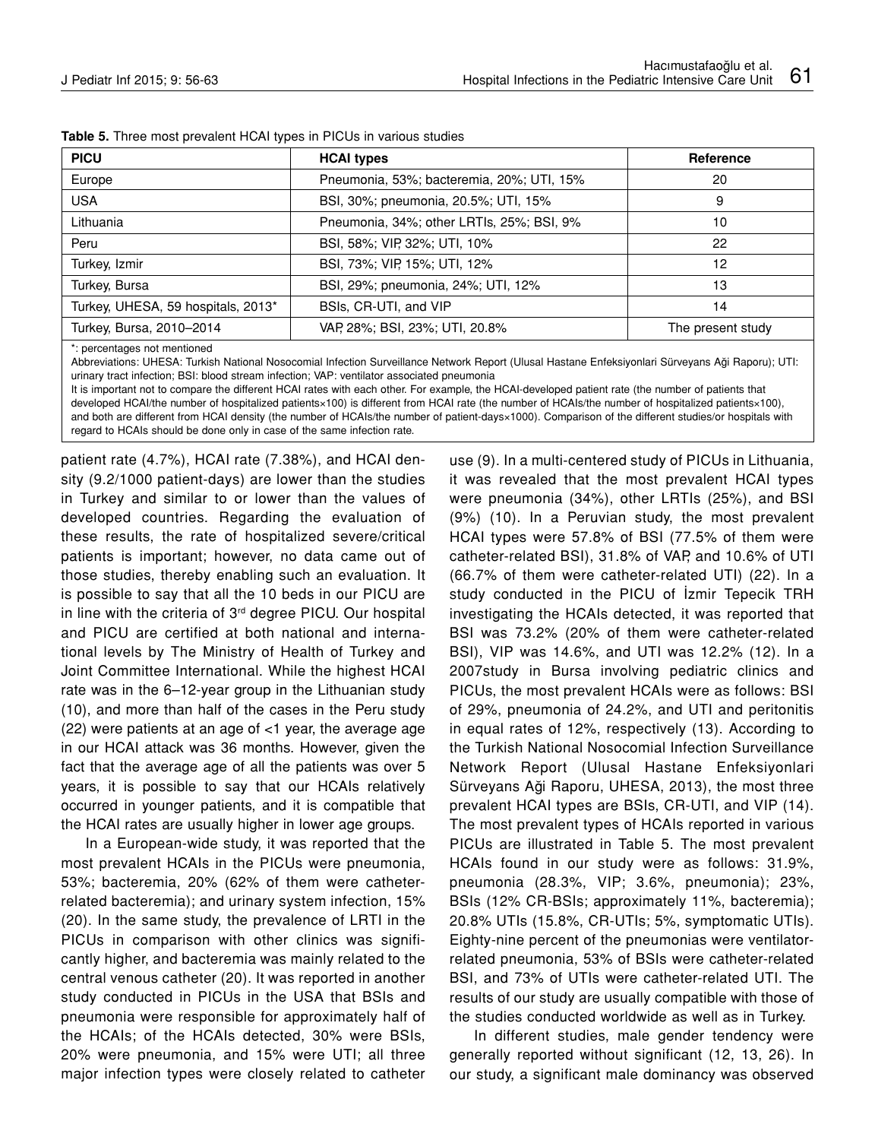| <b>PICU</b>                        | <b>HCAI types</b>                         | Reference         |  |
|------------------------------------|-------------------------------------------|-------------------|--|
| Europe                             | Pneumonia, 53%; bacteremia, 20%; UTI, 15% | 20                |  |
| <b>USA</b>                         | BSI, 30%; pneumonia, 20.5%; UTI, 15%<br>9 |                   |  |
| Lithuania                          | Pneumonia, 34%; other LRTIs, 25%; BSI, 9% | 10                |  |
| Peru                               | BSI, 58%; VIP, 32%; UTI, 10%              | 22                |  |
| Turkey, Izmir                      | BSI, 73%; VIP, 15%; UTI, 12%              | 12                |  |
| Turkey, Bursa                      | BSI, 29%; pneumonia, 24%; UTI, 12%        | 13                |  |
| Turkey, UHESA, 59 hospitals, 2013* | BSIs, CR-UTI, and VIP                     | 14                |  |
| Turkey, Bursa, 2010-2014           | VAP, 28%; BSI, 23%; UTI, 20.8%            | The present study |  |

| Table 5. Three most prevalent HCAI types in PICUs in various studies |  |
|----------------------------------------------------------------------|--|
|----------------------------------------------------------------------|--|

: percentages not mentioned

Abbreviations: UHESA: Turkish National Nosocomial Infection Surveillance Network Report (Ulusal Hastane Enfeksiyonlari Sürveyans Aği Raporu); UTI: urinary tract infection; BSI: blood stream infection; VAP: ventilator associated pneumonia

It is important not to compare the different HCAI rates with each other. For example, the HCAI-developed patient rate (the number of patients that developed HCAI/the number of hospitalized patients×100) is different from HCAI rate (the number of HCAIs/the number of hospitalized patients×100), and both are different from HCAI density (the number of HCAIs/the number of patient-days×1000). Comparison of the different studies/or hospitals with regard to HCAIs should be done only in case of the same infection rate.

patient rate (4.7%), HCAI rate (7.38%), and HCAI density (9.2/1000 patient-days) are lower than the studies in Turkey and similar to or lower than the values of developed countries. Regarding the evaluation of these results, the rate of hospitalized severe/critical patients is important; however, no data came out of those studies, thereby enabling such an evaluation. It is possible to say that all the 10 beds in our PICU are in line with the criteria of 3<sup>rd</sup> degree PICU. Our hospital and PICU are certified at both national and international levels by The Ministry of Health of Turkey and Joint Committee International. While the highest HCAI rate was in the 6–12-year group in the Lithuanian study (10), and more than half of the cases in the Peru study (22) were patients at an age of <1 year, the average age in our HCAI attack was 36 months. However, given the fact that the average age of all the patients was over 5 years, it is possible to say that our HCAIs relatively occurred in younger patients, and it is compatible that the HCAI rates are usually higher in lower age groups.

In a European-wide study, it was reported that the most prevalent HCAIs in the PICUs were pneumonia, 53%; bacteremia, 20% (62% of them were catheterrelated bacteremia); and urinary system infection, 15% (20). In the same study, the prevalence of LRTI in the PICUs in comparison with other clinics was significantly higher, and bacteremia was mainly related to the central venous catheter (20). It was reported in another study conducted in PICUs in the USA that BSIs and pneumonia were responsible for approximately half of the HCAIs; of the HCAIs detected, 30% were BSIs, 20% were pneumonia, and 15% were UTI; all three major infection types were closely related to catheter use (9). In a multi-centered study of PICUs in Lithuania, it was revealed that the most prevalent HCAI types were pneumonia (34%), other LRTIs (25%), and BSI (9%) (10). In a Peruvian study, the most prevalent HCAI types were 57.8% of BSI (77.5% of them were catheter-related BSI), 31.8% of VAP, and 10.6% of UTI (66.7% of them were catheter-related UTI) (22). In a study conducted in the PICU of İzmir Tepecik TRH investigating the HCAIs detected, it was reported that BSI was 73.2% (20% of them were catheter-related BSI), VIP was 14.6%, and UTI was 12.2% (12). In a 2007study in Bursa involving pediatric clinics and PICUs, the most prevalent HCAIs were as follows: BSI of 29%, pneumonia of 24.2%, and UTI and peritonitis in equal rates of 12%, respectively (13). According to the Turkish National Nosocomial Infection Surveillance Network Report (Ulusal Hastane Enfeksiyonlari Sürveyans Aği Raporu, UHESA, 2013), the most three prevalent HCAI types are BSIs, CR-UTI, and VIP (14). The most prevalent types of HCAIs reported in various PICUs are illustrated in Table 5. The most prevalent HCAIs found in our study were as follows: 31.9%, pneumonia (28.3%, VIP; 3.6%, pneumonia); 23%, BSIs (12% CR-BSIs; approximately 11%, bacteremia); 20.8% UTIs (15.8%, CR-UTIs; 5%, symptomatic UTIs). Eighty-nine percent of the pneumonias were ventilatorrelated pneumonia, 53% of BSIs were catheter-related BSI, and 73% of UTIs were catheter-related UTI. The results of our study are usually compatible with those of the studies conducted worldwide as well as in Turkey.

In different studies, male gender tendency were generally reported without significant (12, 13, 26). In our study, a significant male dominancy was observed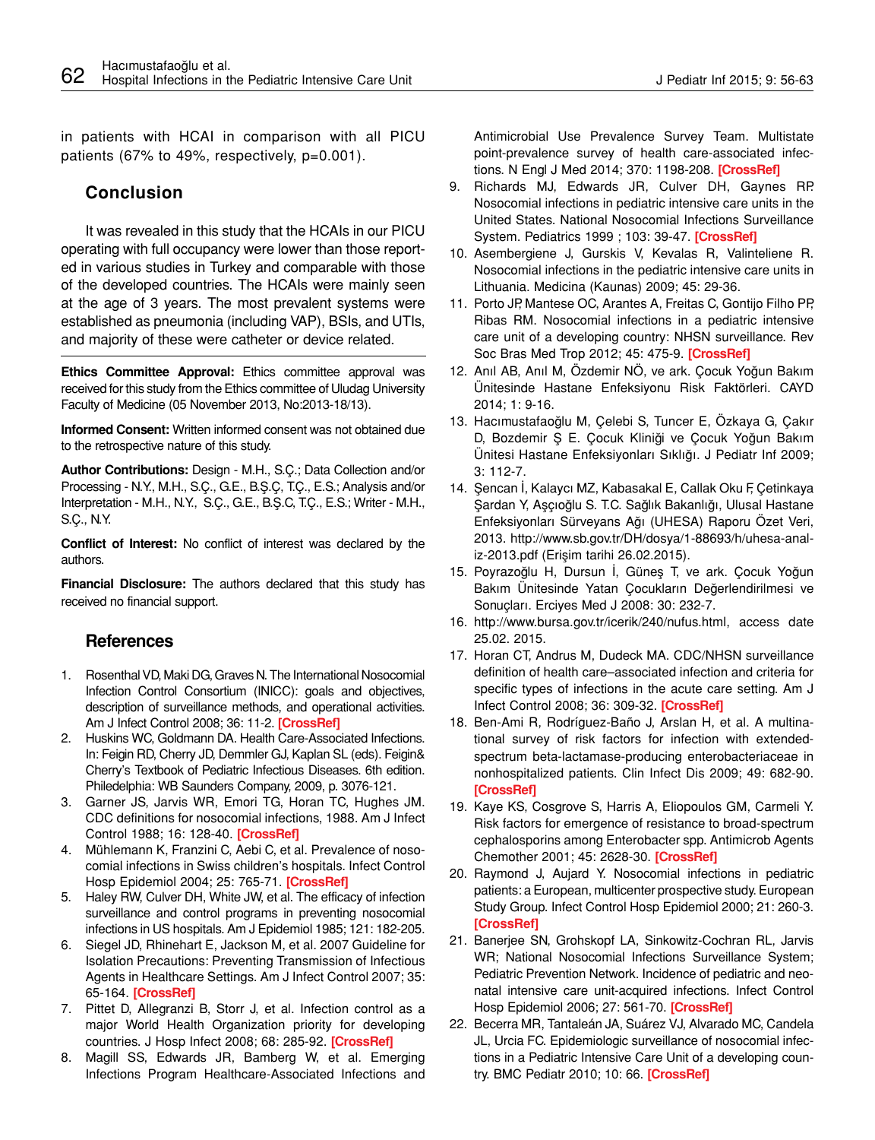in patients with HCAI in comparison with all PICU patients (67% to 49%, respectively, p=0.001).

# **Conclusion**

It was revealed in this study that the HCAIs in our PICU operating with full occupancy were lower than those reported in various studies in Turkey and comparable with those of the developed countries. The HCAIs were mainly seen at the age of 3 years. The most prevalent systems were established as pneumonia (including VAP), BSIs, and UTIs, and majority of these were catheter or device related.

**Ethics Committee Approval:** Ethics committee approval was received for this study from the Ethics committee of Uludag University Faculty of Medicine (05 November 2013, No:2013-18/13).

**Informed Consent:** Written informed consent was not obtained due to the retrospective nature of this study.

**Author Contributions:** Design - M.H., S.Ç.; Data Collection and/or Processing - N.Y., M.H., S.Ç., G.E., B.Ş.Ç, T.Ç., E.S.; Analysis and/or Interpretation - M.H., N.Y., S.Ç., G.E., B.Ş.C, T.Ç., E.S.; Writer - M.H., S.Ç., N.Y.

**Conflict of Interest:** No conflict of interest was declared by the authors.

**Financial Disclosure:** The authors declared that this study has received no financial support.

# **References**

- 1. Rosenthal VD, Maki DG, Graves N. The International Nosocomial Infection Control Consortium (INICC): goals and objectives, description of surveillance methods, and operational activities. Am J Infect Control 2008; 36: 11-2. **[\[CrossRef](http://dx.doi.org/10.1016/j.ajic.2008.06.003)]**
- 2. Huskins WC, Goldmann DA. Health Care-Associated Infections. In: Feigin RD, Cherry JD, Demmler GJ, Kaplan SL (eds). Feigin& Cherry's Textbook of Pediatric Infectious Diseases. 6th edition. Philedelphia: WB Saunders Company, 2009, p. 3076-121.
- 3. Garner JS, Jarvis WR, Emori TG, Horan TC, Hughes JM. CDC definitions for nosocomial infections, 1988. Am J Infect Control 1988; 16: 128-40. **[\[CrossRef\]](http://dx.doi.org/10.1016/0196-6553(88)90053-3)**
- 4. Mühlemann K, Franzini C, Aebi C, et al. Prevalence of nosocomial infections in Swiss children's hospitals. Infect Control Hosp Epidemiol 2004; 25: 765-71. **[\[CrossRef\]](http://dx.doi.org/10.1086/502474)**
- 5. Haley RW, Culver DH, White JW, et al. The efficacy of infection surveillance and control programs in preventing nosocomial infections in US hospitals. Am J Epidemiol 1985; 121: 182-205.
- 6. Siegel JD, Rhinehart E, Jackson M, et al. 2007 Guideline for Isolation Precautions: Preventing Transmission of Infectious Agents in Healthcare Settings. Am J Infect Control 2007; 35: 65-164. **[[CrossRef](http://dx.doi.org/10.1016/j.ajic.2007.10.007)]**
- 7. Pittet D, Allegranzi B, Storr J, et al. Infection control as a major World Health Organization priority for developing countries. J Hosp Infect 2008; 68: 285-92. **[\[CrossRef](http://dx.doi.org/10.1016/j.jhin.2007.12.013)]**
- 8. Magill SS, Edwards JR, Bamberg W, et al. Emerging Infections Program Healthcare-Associated Infections and

Antimicrobial Use Prevalence Survey Team. Multistate point-prevalence survey of health care-associated infections. N Engl J Med 2014; 370: 1198-208. **[\[CrossRef\]](http://dx.doi.org/10.1056/NEJMoa1306801)**

- 9. Richards MJ, Edwards JR, Culver DH, Gaynes RP. Nosocomial infections in pediatric intensive care units in the United States. National Nosocomial Infections Surveillance System. Pediatrics 1999 ; 103: 39-47. **[[CrossRef\]](http://dx.doi.org/10.1542/peds.103.4.e39)**
- 10. Asembergiene J, Gurskis V, Kevalas R, Valinteliene R. Nosocomial infections in the pediatric intensive care units in Lithuania. Medicina (Kaunas) 2009; 45: 29-36.
- 11. Porto JP, Mantese OC, Arantes A, Freitas C, Gontijo Filho PP, Ribas RM. Nosocomial infections in a pediatric intensive care unit of a developing country: NHSN surveillance. Rev Soc Bras Med Trop 2012; 45: 475-9. **[\[CrossRef\]](http://dx.doi.org/10.1590/S0037-86822012005000003)**
- 12. Anıl AB, Anıl M, Özdemir NÖ, ve ark. Çocuk Yoğun Bakım Ünitesinde Hastane Enfeksiyonu Risk Faktörleri. CAYD 2014; 1: 9-16.
- 13. Hacımustafaoğlu M, Çelebi S, Tuncer E, Özkaya G, Çakır D, Bozdemir Ş E. Çocuk Kliniği ve Çocuk Yoğun Bakım Ünitesi Hastane Enfeksiyonları Sıklığı. J Pediatr Inf 2009; 3: 112-7.
- 14. Şencan İ, Kalaycı MZ, Kabasakal E, Callak Oku F, Çetinkaya Şardan Y, Aşçıoğlu S. T.C. Sağlık Bakanlığı, Ulusal Hastane Enfeksiyonları Sürveyans Ağı (UHESA) Raporu Özet Veri, 2013. http://www.sb.gov.tr/DH/dosya/1-88693/h/uhesa-analiz-2013.pdf (Erişim tarihi 26.02.2015).
- 15. Poyrazoğlu H, Dursun İ, Güneş T, ve ark. Çocuk Yoğun Bakım Ünitesinde Yatan Çocukların Değerlendirilmesi ve Sonuçları. Erciyes Med J 2008: 30: 232-7.
- 16. http://www.bursa.gov.tr/icerik/240/nufus.html, access date 25.02. 2015.
- 17. Horan CT, Andrus M, Dudeck MA. CDC/NHSN surveillance definition of health care–associated infection and criteria for specific types of infections in the acute care setting. Am J Infect Control 2008; 36: 309-32. **[\[CrossRef](http://dx.doi.org/10.1016/j.ajic.2008.03.002)]**
- 18. Ben-Ami R, Rodríguez-Baño J, Arslan H, et al. A multinational survey of risk factors for infection with extendedspectrum beta-lactamase-producing enterobacteriaceae in nonhospitalized patients. Clin Infect Dis 2009; 49: 682-90. **[\[CrossRef\]](http://dx.doi.org/10.1086/604713)**
- 19. Kaye KS, Cosgrove S, Harris A, Eliopoulos GM, Carmeli Y. Risk factors for emergence of resistance to broad-spectrum cephalosporins among Enterobacter spp. Antimicrob Agents Chemother 2001; 45: 2628-30. **[\[CrossRef\]](http://dx.doi.org/10.1128/AAC.45.9.2628-2630.2001)**
- 20. Raymond J, Aujard Y. Nosocomial infections in pediatric patients: a European, multicenter prospective study. European Study Group. Infect Control Hosp Epidemiol 2000; 21: 260-3. **[\[CrossRef](http://dx.doi.org/10.1086/501755)]**
- 21. Banerjee SN, Grohskopf LA, Sinkowitz-Cochran RL, Jarvis WR; National Nosocomial Infections Surveillance System; Pediatric Prevention Network. Incidence of pediatric and neonatal intensive care unit-acquired infections. Infect Control Hosp Epidemiol 2006; 27: 561-70. **[\[CrossRef\]](http://dx.doi.org/10.1086/503337)**
- 22. Becerra MR, Tantaleán JA, Suárez VJ, Alvarado MC, Candela JL, Urcia FC. Epidemiologic surveillance of nosocomial infections in a Pediatric Intensive Care Unit of a developing country. BMC Pediatr 2010; 10: 66. **[[CrossRef\]](http://dx.doi.org/10.1186/1471-2431-10-66)**